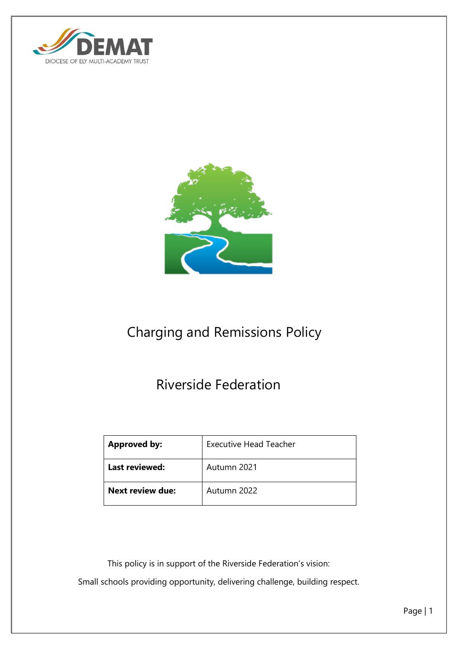



# Charging and Remissions Policy

# Riverside Federation

| <b>Approved by:</b>     | <b>Executive Head Teacher</b> |
|-------------------------|-------------------------------|
| <b>Last reviewed:</b>   | Autumn 2021                   |
| <b>Next review due:</b> | Autumn 2022                   |

This policy is in support of the Riverside Federation's vision:

Small schools providing opportunity, delivering challenge, building respect.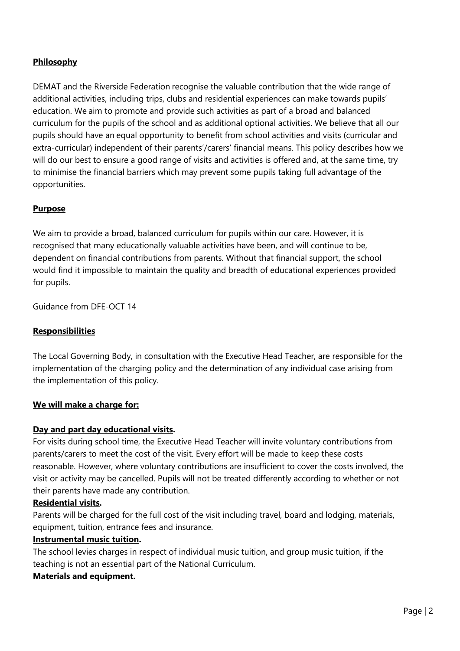# **Philosophy**

DEMAT and the Riverside Federation recognise the valuable contribution that the wide range of additional activities, including trips, clubs and residential experiences can make towards pupils' education. We aim to promote and provide such activities as part of a broad and balanced curriculum for the pupils of the school and as additional optional activities. We believe that all our pupils should have an equal opportunity to benefit from school activities and visits (curricular and extra-curricular) independent of their parents'/carers' financial means. This policy describes how we will do our best to ensure a good range of visits and activities is offered and, at the same time, try to minimise the financial barriers which may prevent some pupils taking full advantage of the opportunities.

# **Purpose**

We aim to provide a broad, balanced curriculum for pupils within our care. However, it is recognised that many educationally valuable activities have been, and will continue to be, dependent on financial contributions from parents. Without that financial support, the school would find it impossible to maintain the quality and breadth of educational experiences provided for pupils.

Guidance from DFE-OCT 14

# **Responsibilities**

The Local Governing Body, in consultation with the Executive Head Teacher, are responsible for the implementation of the charging policy and the determination of any individual case arising from the implementation of this policy.

# **We will make a charge for:**

# **Day and part day educational visits.**

For visits during school time, the Executive Head Teacher will invite voluntary contributions from parents/carers to meet the cost of the visit. Every effort will be made to keep these costs reasonable. However, where voluntary contributions are insufficient to cover the costs involved, the visit or activity may be cancelled. Pupils will not be treated differently according to whether or not their parents have made any contribution.

#### **Residential visits.**

Parents will be charged for the full cost of the visit including travel, board and lodging, materials, equipment, tuition, entrance fees and insurance.

#### **Instrumental music tuition.**

The school levies charges in respect of individual music tuition, and group music tuition, if the teaching is not an essential part of the National Curriculum.

# **Materials and equipment.**